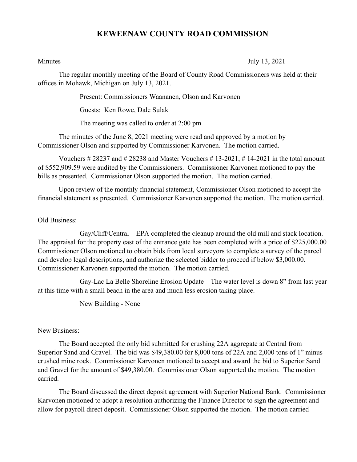## **KEWEENAW COUNTY ROAD COMMISSION**

Minutes July 13, 2021

The regular monthly meeting of the Board of County Road Commissioners was held at their offices in Mohawk, Michigan on July 13, 2021.

Present: Commissioners Waananen, Olson and Karvonen

Guests: Ken Rowe, Dale Sulak

The meeting was called to order at 2:00 pm

The minutes of the June 8, 2021 meeting were read and approved by a motion by Commissioner Olson and supported by Commissioner Karvonen. The motion carried.

Vouchers  $\# 28237$  and  $\# 28238$  and Master Vouchers  $\# 13-2021$ ,  $\# 14-2021$  in the total amount of \$552,909.59 were audited by the Commissioners. Commissioner Karvonen motioned to pay the bills as presented. Commissioner Olson supported the motion. The motion carried.

Upon review of the monthly financial statement, Commissioner Olson motioned to accept the financial statement as presented. Commissioner Karvonen supported the motion. The motion carried.

Old Business:

Gay/Cliff/Central – EPA completed the cleanup around the old mill and stack location. The appraisal for the property east of the entrance gate has been completed with a price of \$225,000.00 Commissioner Olson motioned to obtain bids from local surveyors to complete a survey of the parcel and develop legal descriptions, and authorize the selected bidder to proceed if below \$3,000.00. Commissioner Karvonen supported the motion. The motion carried.

Gay-Lac La Belle Shoreline Erosion Update – The water level is down 8" from last year at this time with a small beach in the area and much less erosion taking place.

New Building - None

New Business:

The Board accepted the only bid submitted for crushing 22A aggregate at Central from Superior Sand and Gravel. The bid was \$49,380.00 for 8,000 tons of 22A and 2,000 tons of 1" minus crushed mine rock. Commissioner Karvonen motioned to accept and award the bid to Superior Sand and Gravel for the amount of \$49,380.00. Commissioner Olson supported the motion. The motion carried.

The Board discussed the direct deposit agreement with Superior National Bank. Commissioner Karvonen motioned to adopt a resolution authorizing the Finance Director to sign the agreement and allow for payroll direct deposit. Commissioner Olson supported the motion. The motion carried